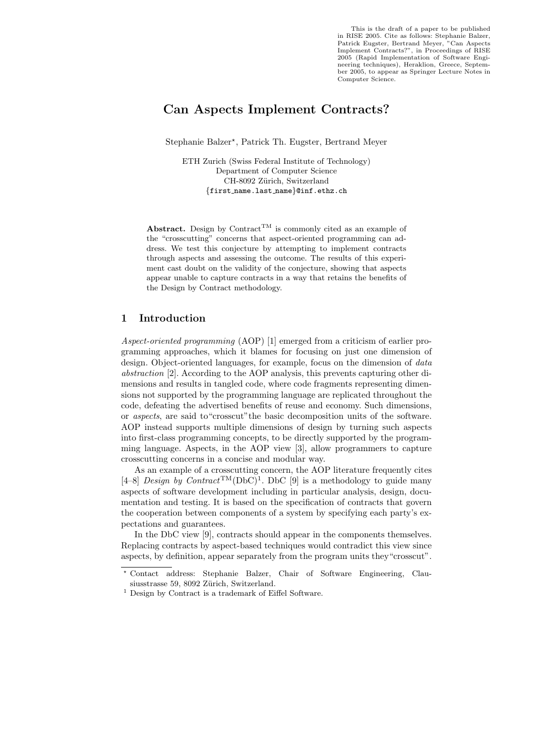This is the draft of a paper to be published in RISE 2005. Cite as follows: Stephanie Balzer, Patrick Eugster, Bertrand Meyer, "Can Aspects Implement Contracts?", in Proceedings of RISE 2005 (Rapid Implementation of Software Engineering techniques), Heraklion, Greece, September 2005, to appear as Springer Lecture Notes in Computer Science.

# Can Aspects Implement Contracts?

Stephanie Balzer\*, Patrick Th. Eugster, Bertrand Meyer

ETH Zurich (Swiss Federal Institute of Technology) Department of Computer Science CH-8092 Zürich, Switzerland {first name.last name}@inf.ethz.ch

Abstract. Design by Contract<sup>TM</sup> is commonly cited as an example of the "crosscutting" concerns that aspect-oriented programming can address. We test this conjecture by attempting to implement contracts through aspects and assessing the outcome. The results of this experiment cast doubt on the validity of the conjecture, showing that aspects appear unable to capture contracts in a way that retains the benefits of the Design by Contract methodology.

## 1 Introduction

Aspect-oriented programming (AOP) [1] emerged from a criticism of earlier programming approaches, which it blames for focusing on just one dimension of design. Object-oriented languages, for example, focus on the dimension of *data* abstraction [2]. According to the AOP analysis, this prevents capturing other dimensions and results in tangled code, where code fragments representing dimensions not supported by the programming language are replicated throughout the code, defeating the advertised benefits of reuse and economy. Such dimensions, or aspects, are said to"crosscut"the basic decomposition units of the software. AOP instead supports multiple dimensions of design by turning such aspects into first-class programming concepts, to be directly supported by the programming language. Aspects, in the AOP view [3], allow programmers to capture crosscutting concerns in a concise and modular way.

As an example of a crosscutting concern, the AOP literature frequently cites [4–8] Design by Contract<sup>TM</sup>(DbC)<sup>1</sup>. DbC [9] is a methodology to guide many aspects of software development including in particular analysis, design, documentation and testing. It is based on the specification of contracts that govern the cooperation between components of a system by specifying each party's expectations and guarantees.

In the DbC view [9], contracts should appear in the components themselves. Replacing contracts by aspect-based techniques would contradict this view since aspects, by definition, appear separately from the program units they"crosscut".

<sup>?</sup> Contact address: Stephanie Balzer, Chair of Software Engineering, Clausiusstrasse 59, 8092 Zürich, Switzerland.

 $^{\rm 1}$  Design by Contract is a trademark of Eiffel Software.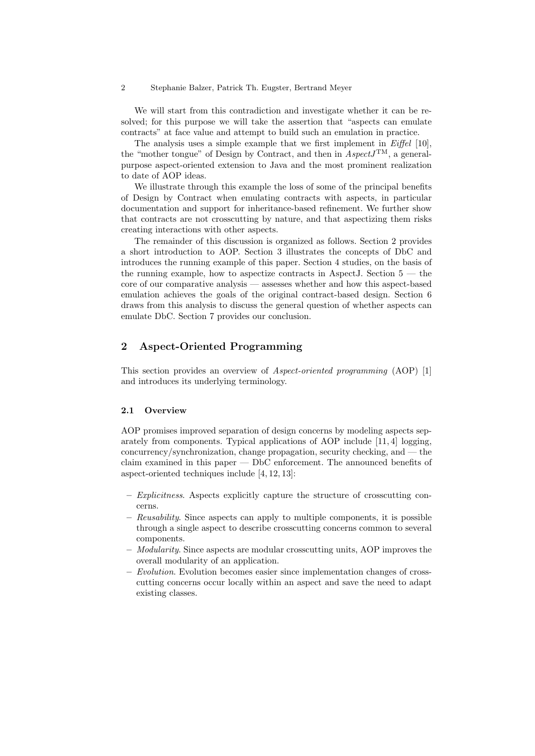2 Stephanie Balzer, Patrick Th. Eugster, Bertrand Meyer

We will start from this contradiction and investigate whether it can be resolved; for this purpose we will take the assertion that "aspects can emulate contracts" at face value and attempt to build such an emulation in practice.

The analysis uses a simple example that we first implement in *Eiffel* [10], the "mother tongue" of Design by Contract, and then in  $AspectJ^{TM}$ , a generalpurpose aspect-oriented extension to Java and the most prominent realization to date of AOP ideas.

We illustrate through this example the loss of some of the principal benefits of Design by Contract when emulating contracts with aspects, in particular documentation and support for inheritance-based refinement. We further show that contracts are not crosscutting by nature, and that aspectizing them risks creating interactions with other aspects.

The remainder of this discussion is organized as follows. Section 2 provides a short introduction to AOP. Section 3 illustrates the concepts of DbC and introduces the running example of this paper. Section 4 studies, on the basis of the running example, how to aspectize contracts in AspectJ. Section  $5$  — the core of our comparative analysis — assesses whether and how this aspect-based emulation achieves the goals of the original contract-based design. Section 6 draws from this analysis to discuss the general question of whether aspects can emulate DbC. Section 7 provides our conclusion.

## 2 Aspect-Oriented Programming

This section provides an overview of Aspect-oriented programming (AOP) [1] and introduces its underlying terminology.

#### 2.1 Overview

AOP promises improved separation of design concerns by modeling aspects separately from components. Typical applications of AOP include [11, 4] logging, concurrency/synchronization, change propagation, security checking, and — the claim examined in this paper — DbC enforcement. The announced benefits of aspect-oriented techniques include [4, 12, 13]:

- Explicitness. Aspects explicitly capture the structure of crosscutting concerns.
- Reusability. Since aspects can apply to multiple components, it is possible through a single aspect to describe crosscutting concerns common to several components.
- $-$  *Modularity*. Since aspects are modular crosscutting units, AOP improves the overall modularity of an application.
- Evolution. Evolution becomes easier since implementation changes of crosscutting concerns occur locally within an aspect and save the need to adapt existing classes.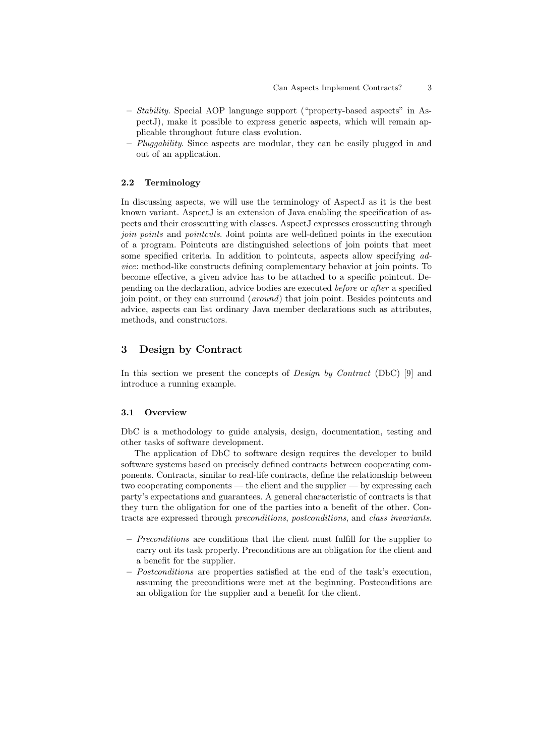- Stability. Special AOP language support ("property-based aspects" in AspectJ), make it possible to express generic aspects, which will remain applicable throughout future class evolution.
- $-$  *Pluggability.* Since aspects are modular, they can be easily plugged in and out of an application.

## 2.2 Terminology

In discussing aspects, we will use the terminology of AspectJ as it is the best known variant. AspectJ is an extension of Java enabling the specification of aspects and their crosscutting with classes. AspectJ expresses crosscutting through join points and pointcuts. Joint points are well-defined points in the execution of a program. Pointcuts are distinguished selections of join points that meet some specified criteria. In addition to pointcuts, aspects allow specifying advice: method-like constructs defining complementary behavior at join points. To become effective, a given advice has to be attached to a specific pointcut. Depending on the declaration, advice bodies are executed before or after a specified join point, or they can surround (around) that join point. Besides pointcuts and advice, aspects can list ordinary Java member declarations such as attributes, methods, and constructors.

## 3 Design by Contract

In this section we present the concepts of *Design by Contract* (DbC) [9] and introduce a running example.

#### 3.1 Overview

DbC is a methodology to guide analysis, design, documentation, testing and other tasks of software development.

The application of DbC to software design requires the developer to build software systems based on precisely defined contracts between cooperating components. Contracts, similar to real-life contracts, define the relationship between two cooperating components — the client and the supplier — by expressing each party's expectations and guarantees. A general characteristic of contracts is that they turn the obligation for one of the parties into a benefit of the other. Contracts are expressed through preconditions, postconditions, and class invariants.

- $-$  *Preconditions* are conditions that the client must fulfill for the supplier to carry out its task properly. Preconditions are an obligation for the client and a benefit for the supplier.
- Postconditions are properties satisfied at the end of the task's execution, assuming the preconditions were met at the beginning. Postconditions are an obligation for the supplier and a benefit for the client.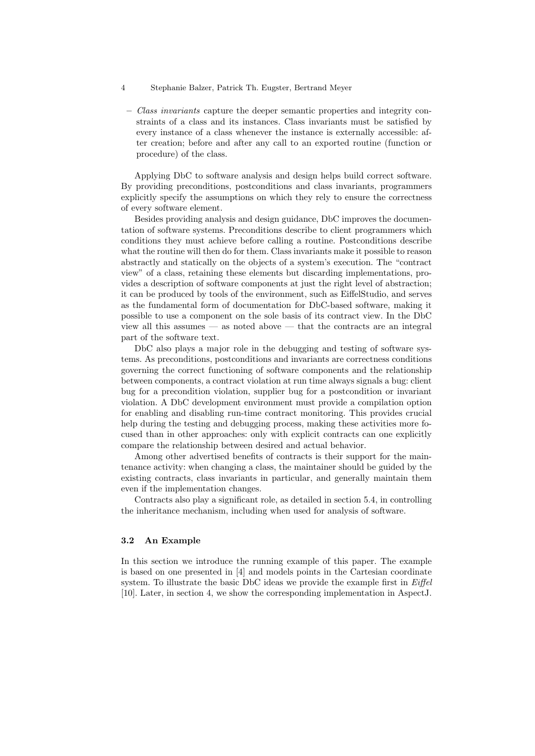- 4 Stephanie Balzer, Patrick Th. Eugster, Bertrand Meyer
	- Class invariants capture the deeper semantic properties and integrity constraints of a class and its instances. Class invariants must be satisfied by every instance of a class whenever the instance is externally accessible: after creation; before and after any call to an exported routine (function or procedure) of the class.

Applying DbC to software analysis and design helps build correct software. By providing preconditions, postconditions and class invariants, programmers explicitly specify the assumptions on which they rely to ensure the correctness of every software element.

Besides providing analysis and design guidance, DbC improves the documentation of software systems. Preconditions describe to client programmers which conditions they must achieve before calling a routine. Postconditions describe what the routine will then do for them. Class invariants make it possible to reason abstractly and statically on the objects of a system's execution. The "contract view" of a class, retaining these elements but discarding implementations, provides a description of software components at just the right level of abstraction; it can be produced by tools of the environment, such as EiffelStudio, and serves as the fundamental form of documentation for DbC-based software, making it possible to use a component on the sole basis of its contract view. In the DbC view all this assumes — as noted above — that the contracts are an integral part of the software text.

DbC also plays a major role in the debugging and testing of software systems. As preconditions, postconditions and invariants are correctness conditions governing the correct functioning of software components and the relationship between components, a contract violation at run time always signals a bug: client bug for a precondition violation, supplier bug for a postcondition or invariant violation. A DbC development environment must provide a compilation option for enabling and disabling run-time contract monitoring. This provides crucial help during the testing and debugging process, making these activities more focused than in other approaches: only with explicit contracts can one explicitly compare the relationship between desired and actual behavior.

Among other advertised benefits of contracts is their support for the maintenance activity: when changing a class, the maintainer should be guided by the existing contracts, class invariants in particular, and generally maintain them even if the implementation changes.

Contracts also play a significant role, as detailed in section 5.4, in controlling the inheritance mechanism, including when used for analysis of software.

## 3.2 An Example

In this section we introduce the running example of this paper. The example is based on one presented in [4] and models points in the Cartesian coordinate system. To illustrate the basic DbC ideas we provide the example first in Eiffel [10]. Later, in section 4, we show the corresponding implementation in AspectJ.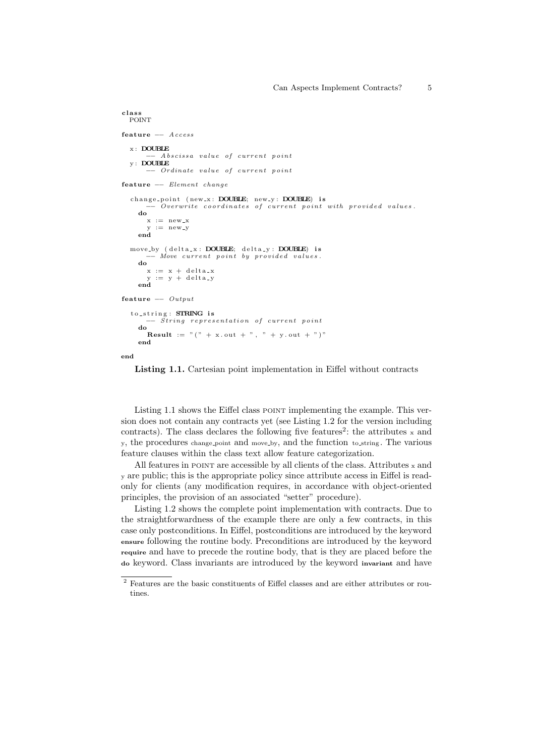```
c l a s s
  POINT
feature - Access
  x : DOUBLE
           A \, b \, scissa \quad value \quad of \quad current \quad pointy : DOUBLE
         −− Ord ina te v a l u e o f cu r r en t p o in t
feature -- Element change
  change_point (new_x: DOUBLE; new_y: DOUBLE) is
           Overwrite coordinates of current point with provided values.
    do
       x := new_xy := new_vend
  move_by ( delta_x : DOUBLE; delta_y : DOUBLE) is
          \delta Move current point by provided values.
     do<br>x := x + \text{delta } xx := x + \text{delta.x}<br>
y := y + \text{delta.y}<br>
end
feature - Output
  to_string: STRING is
       −− String representation of current point
    do
       Result := " (" + x.out + ", " + y.out + " )"end
end
```
Listing 1.1. Cartesian point implementation in Eiffel without contracts

Listing 1.1 shows the Eiffel class POINT implementing the example. This version does not contain any contracts yet (see Listing 1.2 for the version including contracts). The class declares the following five features<sup>2</sup>: the attributes  $x$  and <sup>y</sup>, the procedures change point and move by, and the function to string . The various feature clauses within the class text allow feature categorization.

All features in POINT are accessible by all clients of the class. Attributes <sup>x</sup> and <sup>y</sup> are public; this is the appropriate policy since attribute access in Eiffel is readonly for clients (any modification requires, in accordance with object-oriented principles, the provision of an associated "setter" procedure).

Listing 1.2 shows the complete point implementation with contracts. Due to the straightforwardness of the example there are only a few contracts, in this case only postconditions. In Eiffel, postconditions are introduced by the keyword ensure following the routine body. Preconditions are introduced by the keyword require and have to precede the routine body, that is they are placed before the do keyword. Class invariants are introduced by the keyword invariant and have

 $^{\rm 2}$  Features are the basic constituents of Eiffel classes and are either attributes or routines.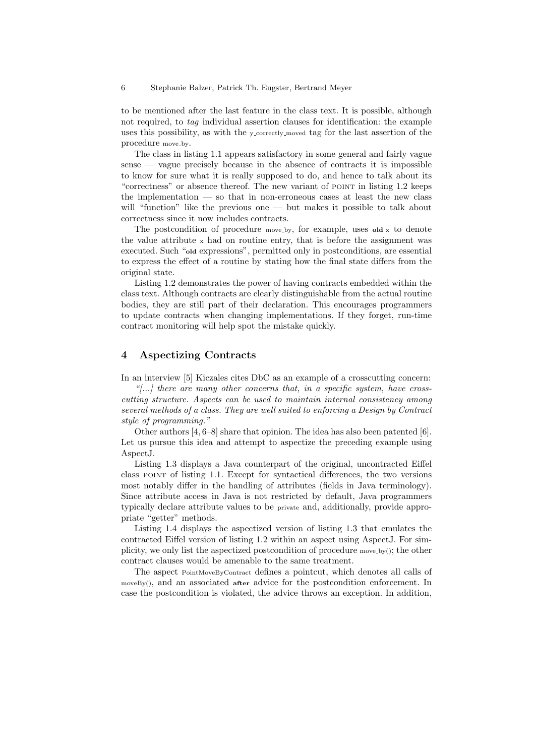to be mentioned after the last feature in the class text. It is possible, although not required, to tag individual assertion clauses for identification: the example uses this possibility, as with the y-correctly-moved tag for the last assertion of the procedure move by.

The class in listing 1.1 appears satisfactory in some general and fairly vague sense — vague precisely because in the absence of contracts it is impossible to know for sure what it is really supposed to do, and hence to talk about its "correctness" or absence thereof. The new variant of POINT in listing 1.2 keeps the implementation — so that in non-erroneous cases at least the new class will "function" like the previous one — but makes it possible to talk about correctness since it now includes contracts.

The postcondition of procedure move by, for example, uses  $old \times$  to denote the value attribute  $x$  had on routine entry, that is before the assignment was executed. Such "old expressions", permitted only in postconditions, are essential to express the effect of a routine by stating how the final state differs from the original state.

Listing 1.2 demonstrates the power of having contracts embedded within the class text. Although contracts are clearly distinguishable from the actual routine bodies, they are still part of their declaration. This encourages programmers to update contracts when changing implementations. If they forget, run-time contract monitoring will help spot the mistake quickly.

## 4 Aspectizing Contracts

In an interview [5] Kiczales cites DbC as an example of a crosscutting concern:

"[...] there are many other concerns that, in a specific system, have crosscutting structure. Aspects can be used to maintain internal consistency among several methods of a class. They are well suited to enforcing a Design by Contract style of programming."

Other authors [4, 6–8] share that opinion. The idea has also been patented [6]. Let us pursue this idea and attempt to aspectize the preceding example using AspectJ.

Listing 1.3 displays a Java counterpart of the original, uncontracted Eiffel class POINT of listing 1.1. Except for syntactical differences, the two versions most notably differ in the handling of attributes (fields in Java terminology). Since attribute access in Java is not restricted by default, Java programmers typically declare attribute values to be private and, additionally, provide appropriate "getter" methods.

Listing 1.4 displays the aspectized version of listing 1.3 that emulates the contracted Eiffel version of listing 1.2 within an aspect using AspectJ. For simplicity, we only list the aspectized postcondition of procedure move by(); the other contract clauses would be amenable to the same treatment.

The aspect PointMoveByContract defines a pointcut, which denotes all calls of moveBy(), and an associated after advice for the postcondition enforcement. In case the postcondition is violated, the advice throws an exception. In addition,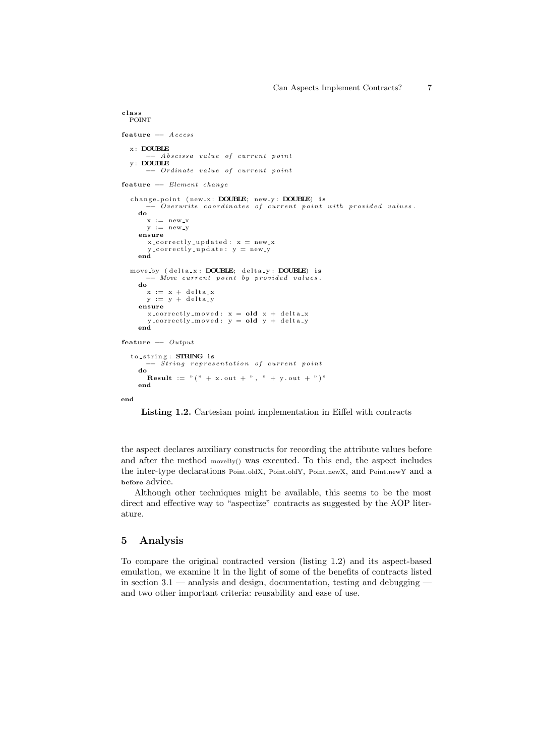```
c l a s s
  POINT
feature - Access
  x : DOUBLE
           A \, b \, scissa \quad value \quad of \quad current \quad pointy: DOUBLE
         −− Ord ina te v a l u e o f cu r r en t p o in t
feature -= Element \ changechange_point (new_x: DOUBLE; new_y: DOUBLE) is<br>-- Overwrite coordinates of current point with provided values.
     do
       x := new_xy := new_vensure
       x-correctly-updated: x = new_xy-correctly-update: y = new-yend
  move_by ( delta_x: DOUBLE; delta_y : DOUBLE) is
         −− Move cu r r en t p o in t by p r o v i d e d v a l u e s .
     do
       x := x + delta_xy := y + delta_yensure
        x_correctly_moved: x = old x + delta_x<br>y_correctly_moved: y = old y + delta_yend
feature - Output
  to\_string: STRING is
         − String representation of current point
     do
       Result := " (" + x.out + ", " + y.out + " )"end
end
```


the aspect declares auxiliary constructs for recording the attribute values before and after the method move By() was executed. To this end, the aspect includes the inter-type declarations Point.oldX, Point.oldY, Point.newX, and Point.newY and a before advice.

Although other techniques might be available, this seems to be the most direct and effective way to "aspectize" contracts as suggested by the AOP literature.

## 5 Analysis

To compare the original contracted version (listing 1.2) and its aspect-based emulation, we examine it in the light of some of the benefits of contracts listed in section 3.1 — analysis and design, documentation, testing and debugging and two other important criteria: reusability and ease of use.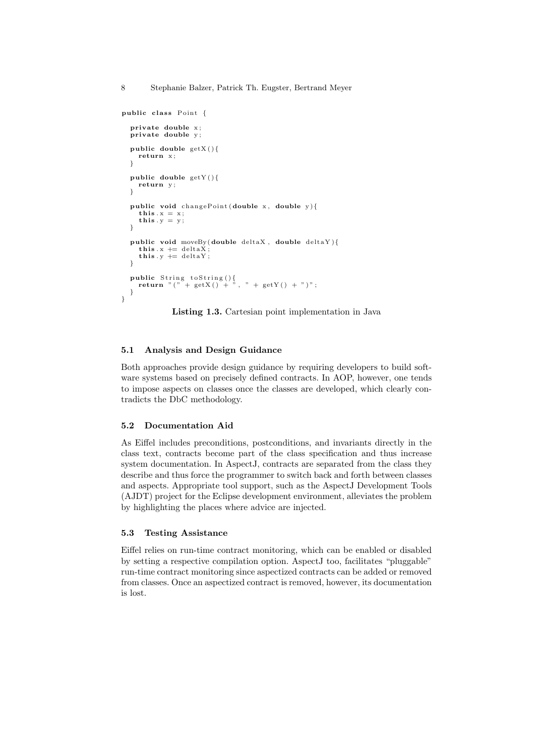8 Stephanie Balzer, Patrick Th. Eugster, Bertrand Meyer

```
public class Point {
  private double x;<br>private double y;
  public double getX()return x;
  }
  public double getY()return y ;
  }
  public void changePoint (double x, double y){
     this .x = x;
    this \t y = y;}
  public void moveBy ( double deltaX , double deltaY ) {
     this.x \leftarrow deltaX
     this y \models= deltaY}
  public String to String (){<br>return "(" + getX() + ", " + getY() + ")";
  }
}
```
Listing 1.3. Cartesian point implementation in Java

## 5.1 Analysis and Design Guidance

Both approaches provide design guidance by requiring developers to build software systems based on precisely defined contracts. In AOP, however, one tends to impose aspects on classes once the classes are developed, which clearly contradicts the DbC methodology.

#### 5.2 Documentation Aid

As Eiffel includes preconditions, postconditions, and invariants directly in the class text, contracts become part of the class specification and thus increase system documentation. In AspectJ, contracts are separated from the class they describe and thus force the programmer to switch back and forth between classes and aspects. Appropriate tool support, such as the AspectJ Development Tools (AJDT) project for the Eclipse development environment, alleviates the problem by highlighting the places where advice are injected.

#### 5.3 Testing Assistance

Eiffel relies on run-time contract monitoring, which can be enabled or disabled by setting a respective compilation option. AspectJ too, facilitates "pluggable" run-time contract monitoring since aspectized contracts can be added or removed from classes. Once an aspectized contract is removed, however, its documentation is lost.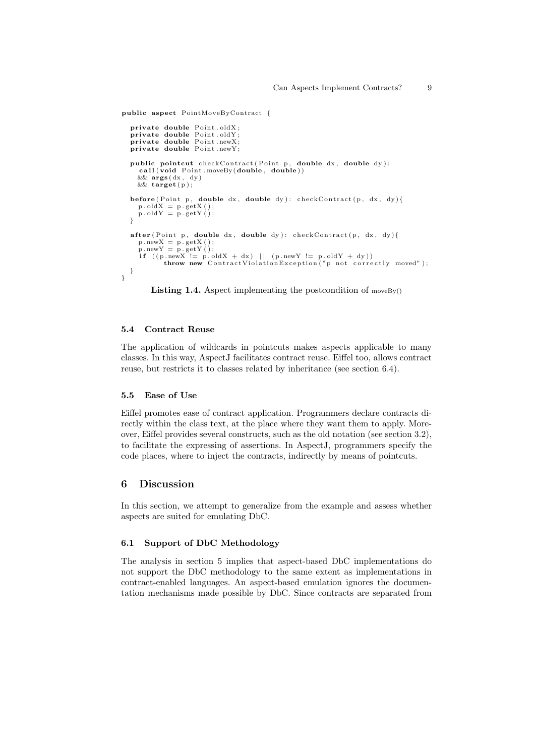```
public aspect PointMoveByContract {
  private double Point . oldX ;
  \bar{p}rivate double Point.oldY
  private double Point .newX;
  private double Point . newY ;
  public pointcut checkContract (Point p, double dx, double dy):
     call (void Point . moveBy (double, double))
    && \arg s (dx, dy)
    && target(p);
  before (Point p, double dx, double dy): checkContract(p, dx, dy){
    p \cdot oldX = p \cdot getX();
    p. oldY = p.getY();}
  after (Point p, double dx, double dy): checkContract(p, dx, dy)p.newX = p.getX();<br>p.newY = p.getY();
    if ((p \cdot newX)' = p \cdot oldX + dx) || (p newY' = p \cdot oldY + dy))throw new ContractViolationException ("p not correctly moved");
  }
}
```


#### 5.4 Contract Reuse

The application of wildcards in pointcuts makes aspects applicable to many classes. In this way, AspectJ facilitates contract reuse. Eiffel too, allows contract reuse, but restricts it to classes related by inheritance (see section 6.4).

#### 5.5 Ease of Use

Eiffel promotes ease of contract application. Programmers declare contracts directly within the class text, at the place where they want them to apply. Moreover, Eiffel provides several constructs, such as the old notation (see section 3.2), to facilitate the expressing of assertions. In AspectJ, programmers specify the code places, where to inject the contracts, indirectly by means of pointcuts.

## 6 Discussion

In this section, we attempt to generalize from the example and assess whether aspects are suited for emulating DbC.

#### 6.1 Support of DbC Methodology

The analysis in section 5 implies that aspect-based DbC implementations do not support the DbC methodology to the same extent as implementations in contract-enabled languages. An aspect-based emulation ignores the documentation mechanisms made possible by DbC. Since contracts are separated from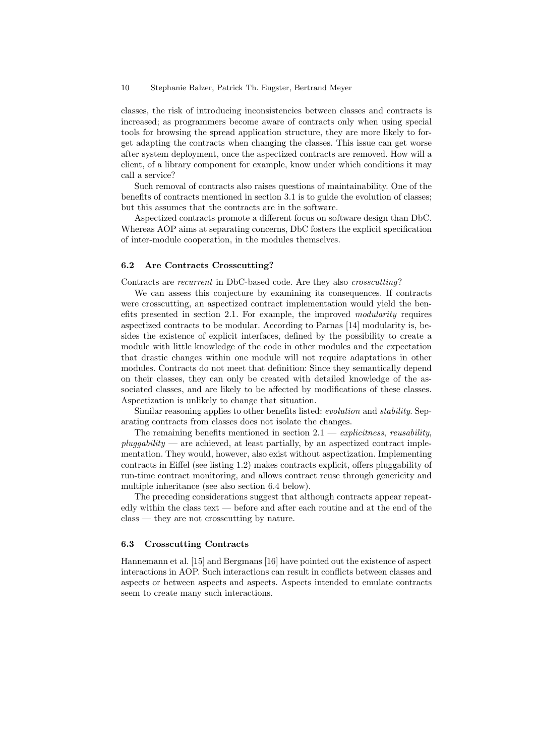#### 10 Stephanie Balzer, Patrick Th. Eugster, Bertrand Meyer

classes, the risk of introducing inconsistencies between classes and contracts is increased; as programmers become aware of contracts only when using special tools for browsing the spread application structure, they are more likely to forget adapting the contracts when changing the classes. This issue can get worse after system deployment, once the aspectized contracts are removed. How will a client, of a library component for example, know under which conditions it may call a service?

Such removal of contracts also raises questions of maintainability. One of the benefits of contracts mentioned in section 3.1 is to guide the evolution of classes; but this assumes that the contracts are in the software.

Aspectized contracts promote a different focus on software design than DbC. Whereas AOP aims at separating concerns, DbC fosters the explicit specification of inter-module cooperation, in the modules themselves.

#### 6.2 Are Contracts Crosscutting?

Contracts are recurrent in DbC-based code. Are they also crosscutting?

We can assess this conjecture by examining its consequences. If contracts were crosscutting, an aspectized contract implementation would yield the benefits presented in section 2.1. For example, the improved modularity requires aspectized contracts to be modular. According to Parnas [14] modularity is, besides the existence of explicit interfaces, defined by the possibility to create a module with little knowledge of the code in other modules and the expectation that drastic changes within one module will not require adaptations in other modules. Contracts do not meet that definition: Since they semantically depend on their classes, they can only be created with detailed knowledge of the associated classes, and are likely to be affected by modifications of these classes. Aspectization is unlikely to change that situation.

Similar reasoning applies to other benefits listed: evolution and stability. Separating contracts from classes does not isolate the changes.

The remaining benefits mentioned in section  $2.1 - \text{explicitness}, \text{reusability},$  $pluqaability$  — are achieved, at least partially, by an aspectized contract implementation. They would, however, also exist without aspectization. Implementing contracts in Eiffel (see listing 1.2) makes contracts explicit, offers pluggability of run-time contract monitoring, and allows contract reuse through genericity and multiple inheritance (see also section 6.4 below).

The preceding considerations suggest that although contracts appear repeatedly within the class text — before and after each routine and at the end of the class — they are not crosscutting by nature.

## 6.3 Crosscutting Contracts

Hannemann et al. [15] and Bergmans [16] have pointed out the existence of aspect interactions in AOP. Such interactions can result in conflicts between classes and aspects or between aspects and aspects. Aspects intended to emulate contracts seem to create many such interactions.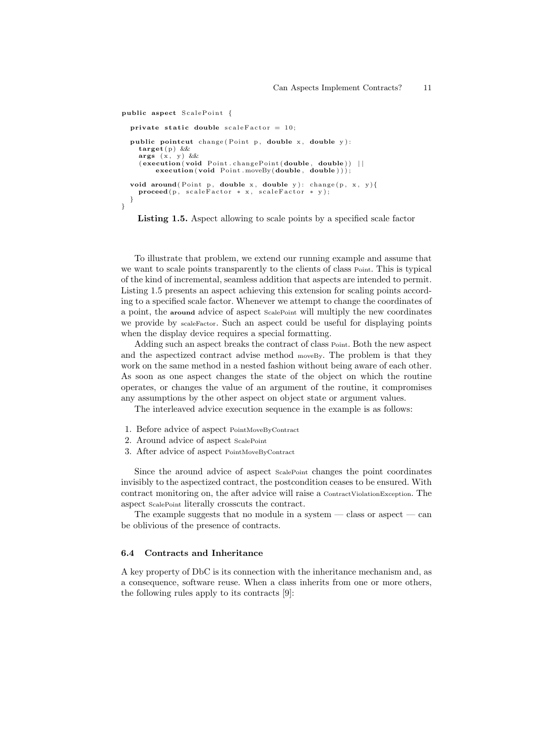```
public aspect ScalePoint {
  private static double scale Factor = 10;
  public pointcut change (Point p, double x, double y):
    target(p) &&
     \arg s \left( x, y \right) &&
     ( execution ( void Point . changePoint (double, double)) |
          {\bf execution (void Point.moveBy(double, double)));
  void around(Point p, double x, double y): change (p, x, y){<br>proceed (p, scalarFactor * x, scaleFactor * y);
  }
}
```
Listing 1.5. Aspect allowing to scale points by a specified scale factor

To illustrate that problem, we extend our running example and assume that we want to scale points transparently to the clients of class Point. This is typical of the kind of incremental, seamless addition that aspects are intended to permit. Listing 1.5 presents an aspect achieving this extension for scaling points according to a specified scale factor. Whenever we attempt to change the coordinates of a point, the around advice of aspect ScalePoint will multiply the new coordinates we provide by scaleFactor. Such an aspect could be useful for displaying points when the display device requires a special formatting.

Adding such an aspect breaks the contract of class Point. Both the new aspect and the aspectized contract advise method moveBy. The problem is that they work on the same method in a nested fashion without being aware of each other. As soon as one aspect changes the state of the object on which the routine operates, or changes the value of an argument of the routine, it compromises any assumptions by the other aspect on object state or argument values.

The interleaved advice execution sequence in the example is as follows:

- 1. Before advice of aspect PointMoveByContract
- 2. Around advice of aspect ScalePoint
- 3. After advice of aspect PointMoveByContract

Since the around advice of aspect ScalePoint changes the point coordinates invisibly to the aspectized contract, the postcondition ceases to be ensured. With contract monitoring on, the after advice will raise a ContractViolationException. The aspect ScalePoint literally crosscuts the contract.

The example suggests that no module in a system  $-$  class or aspect  $-$  can be oblivious of the presence of contracts.

#### 6.4 Contracts and Inheritance

A key property of DbC is its connection with the inheritance mechanism and, as a consequence, software reuse. When a class inherits from one or more others, the following rules apply to its contracts [9]: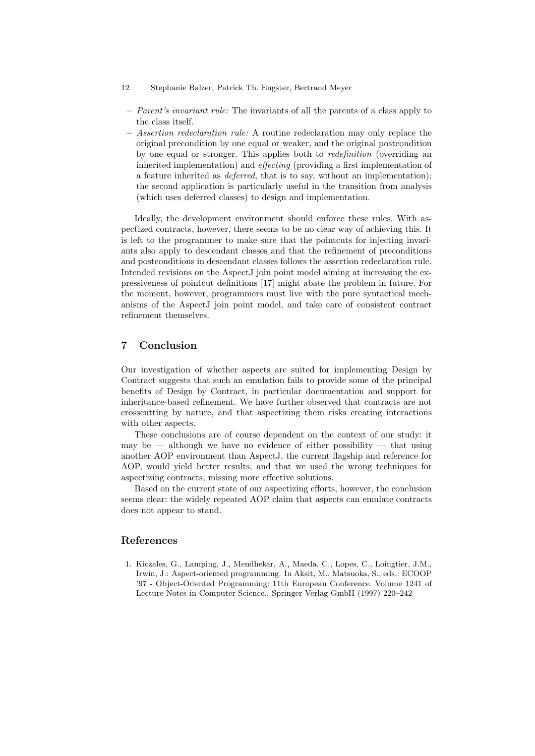- 12 Stephanie Balzer, Patrick Th. Eugster, Bertrand Meyer
	- $-$  *Parent's invariant rule:* The invariants of all the parents of a class apply to the class itself.
	- Assertion redeclaration rule: A routine redeclaration may only replace the original precondition by one equal or weaker, and the original postcondition by one equal or stronger. This applies both to redefinition (overriding an inherited implementation) and effecting (providing a first implementation of a feature inherited as deferred, that is to say, without an implementation); the second application is particularly useful in the transition from analysis (which uses deferred classes) to design and implementation.

Ideally, the development environment should enforce these rules. With aspectized contracts, however, there seems to be no clear way of achieving this. It is left to the programmer to make sure that the pointcuts for injecting invariants also apply to descendant classes and that the refinement of preconditions and postconditions in descendant classes follows the assertion redeclaration rule. Intended revisions on the AspectJ join point model aiming at increasing the expressiveness of pointcut definitions [17] might abate the problem in future. For the moment, however, programmers must live with the pure syntactical mechanisms of the AspectJ join point model, and take care of consistent contract refinement themselves.

## 7 Conclusion

Our investigation of whether aspects are suited for implementing Design by Contract suggests that such an emulation fails to provide some of the principal benefits of Design by Contract, in particular documentation and support for inheritance-based refinement. We have further observed that contracts are not crosscutting by nature, and that aspectizing them risks creating interactions with other aspects.

These conclusions are of course dependent on the context of our study: it may be  $-$  although we have no evidence of either possibility  $-$  that using another AOP environment than AspectJ, the current flagship and reference for AOP, would yield better results; and that we used the wrong techniques for aspectizing contracts, missing more effective solutions.

Based on the current state of our aspectizing efforts, however, the conclusion seems clear: the widely repeated AOP claim that aspects can emulate contracts does not appear to stand.

## References

1. Kiczales, G., Lamping, J., Mendhekar, A., Maeda, C., Lopes, C., Loingtier, J.M., Irwin, J.: Aspect-oriented programming. In Aksit, M., Matsuoka, S., eds.: ECOOP '97 - Object-Oriented Programming: 11th European Conference. Volume 1241 of Lecture Notes in Computer Science., Springer-Verlag GmbH (1997) 220–242